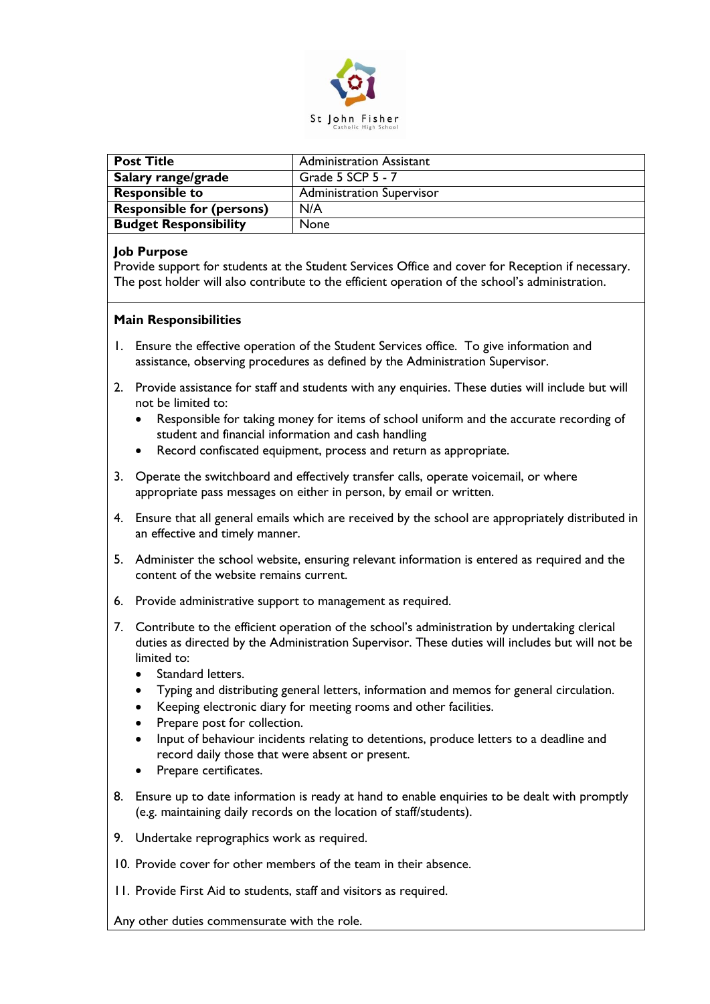

| <b>Post Title</b>                | <b>Administration Assistant</b>  |
|----------------------------------|----------------------------------|
| Salary range/grade               | Grade 5 SCP 5 - 7                |
| <b>Responsible to</b>            | <b>Administration Supervisor</b> |
| <b>Responsible for (persons)</b> | N/A                              |
| <b>Budget Responsibility</b>     | None                             |

## **Job Purpose**

Provide support for students at the Student Services Office and cover for Reception if necessary. The post holder will also contribute to the efficient operation of the school's administration.

## **Main Responsibilities**

- 1. Ensure the effective operation of the Student Services office. To give information and assistance, observing procedures as defined by the Administration Supervisor.
- 2. Provide assistance for staff and students with any enquiries. These duties will include but will not be limited to:
	- Responsible for taking money for items of school uniform and the accurate recording of student and financial information and cash handling
	- Record confiscated equipment, process and return as appropriate.
- 3. Operate the switchboard and effectively transfer calls, operate voicemail, or where appropriate pass messages on either in person, by email or written.
- 4. Ensure that all general emails which are received by the school are appropriately distributed in an effective and timely manner.
- 5. Administer the school website, ensuring relevant information is entered as required and the content of the website remains current.
- 6. Provide administrative support to management as required.
- 7. Contribute to the efficient operation of the school's administration by undertaking clerical duties as directed by the Administration Supervisor. These duties will includes but will not be limited to:
	- Standard letters.
	- Typing and distributing general letters, information and memos for general circulation.
	- Keeping electronic diary for meeting rooms and other facilities.
	- Prepare post for collection.
	- Input of behaviour incidents relating to detentions, produce letters to a deadline and record daily those that were absent or present.
	- Prepare certificates.
- 8. Ensure up to date information is ready at hand to enable enquiries to be dealt with promptly (e.g. maintaining daily records on the location of staff/students).
- 9. Undertake reprographics work as required.
- 10. Provide cover for other members of the team in their absence.
- 11. Provide First Aid to students, staff and visitors as required.

Any other duties commensurate with the role.